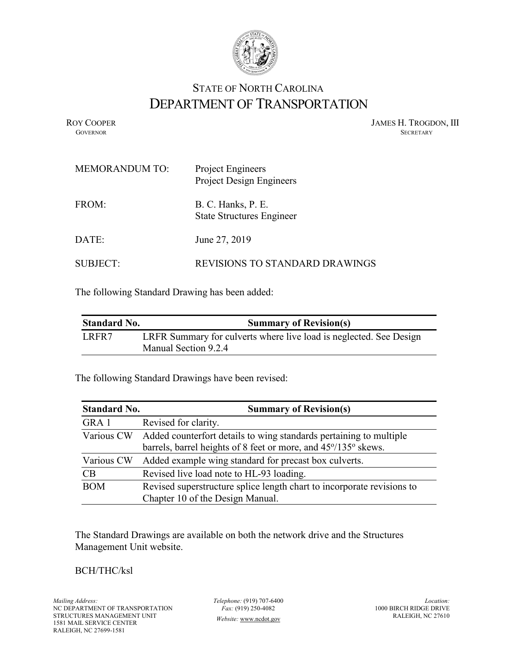

## STATE OF NORTH CAROLINA DEPARTMENT OF TRANSPORTATION

ROY COOPER JAMES H. TROGDON, III GOVERNOR SECRETARY GOVERNOR SECRETARY SECRETARY SECRETARY SECRETARY SECRETARY SECRETARY SECRETARY SECRETARY

| <b>MEMORANDUM TO:</b> | Project Engineers<br><b>Project Design Engineers</b>   |
|-----------------------|--------------------------------------------------------|
| FROM:                 | B. C. Hanks, P. E.<br><b>State Structures Engineer</b> |
| DATE:                 | June 27, 2019                                          |
| SUBJECT:              | <b>REVISIONS TO STANDARD DRAWINGS</b>                  |

The following Standard Drawing has been added:

| <b>Standard No.</b> | <b>Summary of Revision(s)</b>                                                              |
|---------------------|--------------------------------------------------------------------------------------------|
| LRFR7               | LRFR Summary for culverts where live load is neglected. See Design<br>Manual Section 9.2.4 |

The following Standard Drawings have been revised:

| <b>Standard No.</b> | <b>Summary of Revision(s)</b>                                                                                                                   |
|---------------------|-------------------------------------------------------------------------------------------------------------------------------------------------|
| GRA 1               | Revised for clarity.                                                                                                                            |
|                     | Various CW Added counterfort details to wing standards pertaining to multiple<br>barrels, barrel heights of 8 feet or more, and 45°/135° skews. |
| Various CW          | Added example wing standard for precast box culverts.                                                                                           |
| CB                  | Revised live load note to HL-93 loading.                                                                                                        |
| <b>BOM</b>          | Revised superstructure splice length chart to incorporate revisions to<br>Chapter 10 of the Design Manual.                                      |

The Standard Drawings are available on both the network drive and the Structures Management Unit website.

## BCH/THC/ksl

*Telephone:* (919) 707-6400 *Fax:* (919) 250-4082 *Website:* [www.ncdot.gov](http://www.ncdot.gov/)